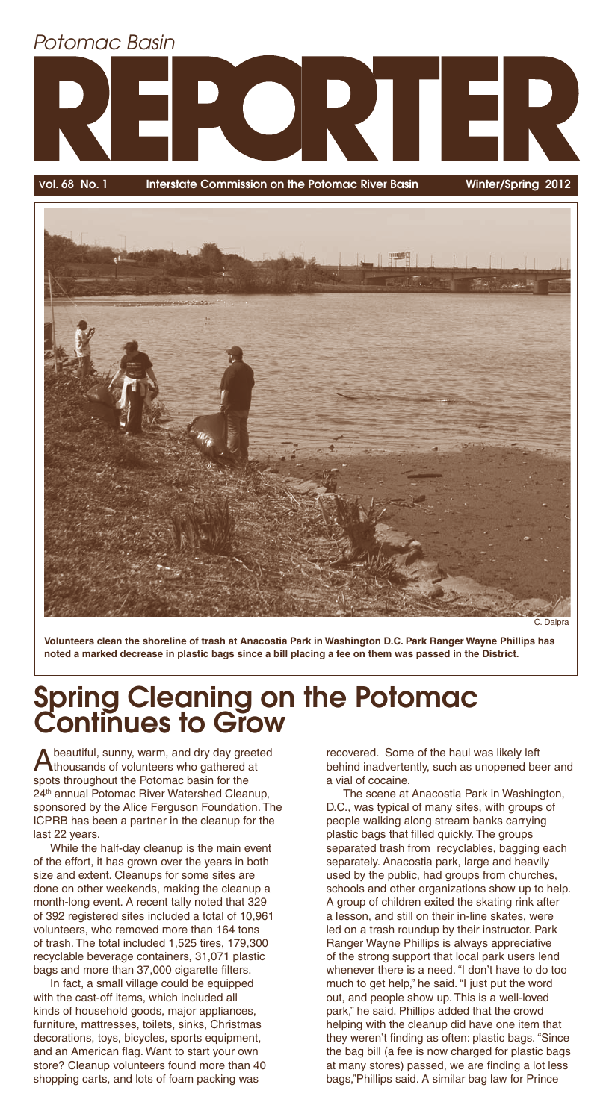# Potomac Basin

Vol. 68 No. 1 Interstate Commission on the Potomac River Basin Winter/Spring 2012



C. Dalpra

**Volunteers clean the shoreline of trash at Anacostia Park in Washington D.C. Park Ranger Wayne Phillips has noted a marked decrease in plastic bags since a bill placing a fee on them was passed in the District.**

## Spring Cleaning on the Potomac Continues to Grow

A beautiful, sunny, warm, and dry day greeted thousands of volunteers who gathered at spots throughout the Potomac basin for the 24<sup>th</sup> annual Potomac River Watershed Cleanup, sponsored by the Alice Ferguson Foundation. The ICPRB has been a partner in the cleanup for the last 22 years.

While the half-day cleanup is the main event of the effort, it has grown over the years in both size and extent. Cleanups for some sites are done on other weekends, making the cleanup a month-long event. A recent tally noted that 329 of 392 registered sites included a total of 10,961 volunteers, who removed more than 164 tons of trash. The total included 1,525 tires, 179,300 recyclable beverage containers, 31,071 plastic bags and more than 37,000 cigarette filters.

In fact, a small village could be equipped with the cast-off items, which included all kinds of household goods, major appliances, furniture, mattresses, toilets, sinks, Christmas decorations, toys, bicycles, sports equipment, and an American flag. Want to start your own store? Cleanup volunteers found more than 40 shopping carts, and lots of foam packing was

recovered. Some of the haul was likely left behind inadvertently, such as unopened beer and a vial of cocaine.

The scene at Anacostia Park in Washington, D.C., was typical of many sites, with groups of people walking along stream banks carrying plastic bags that filled quickly. The groups separated trash from recyclables, bagging each separately. Anacostia park, large and heavily used by the public, had groups from churches, schools and other organizations show up to help. A group of children exited the skating rink after a lesson, and still on their in-line skates, were led on a trash roundup by their instructor. Park Ranger Wayne Phillips is always appreciative of the strong support that local park users lend whenever there is a need. "I don't have to do too much to get help," he said. "I just put the word out, and people show up. This is a well-loved park," he said. Phillips added that the crowd helping with the cleanup did have one item that they weren't finding as often: plastic bags. "Since the bag bill (a fee is now charged for plastic bags at many stores) passed, we are finding a lot less bags,"Phillips said. A similar bag law for Prince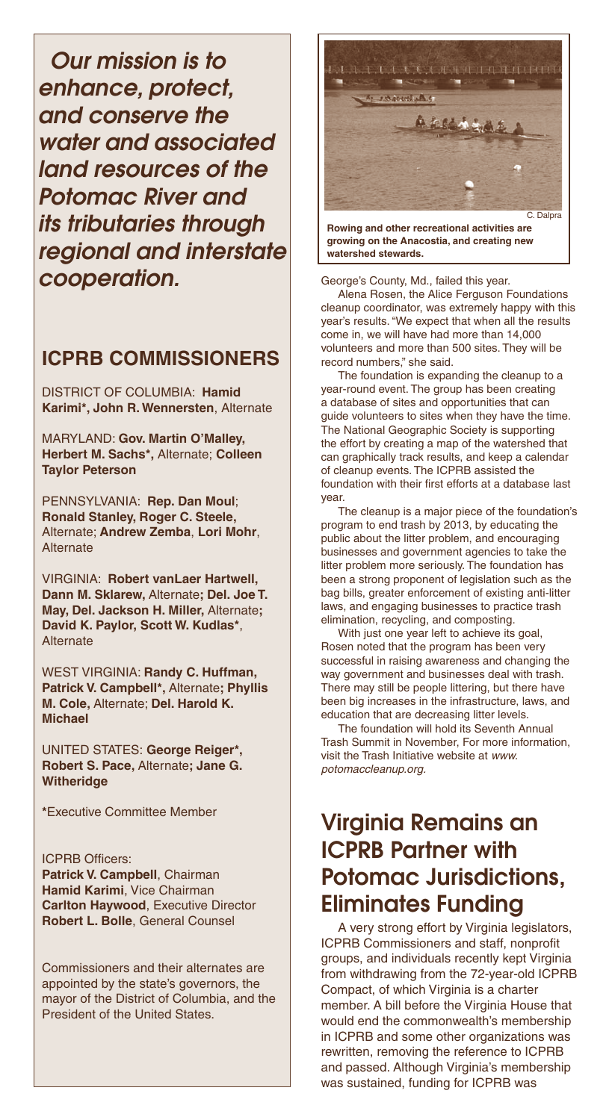Our mission is to enhance, protect, and conserve the water and associated land resources of the Potomac River and its tributaries through regional and interstate cooperation.

#### **ICPRB COMMISSIONERS**

DISTRICT OF COLUMBIA: **Hamid Karimi\*, John R. Wennersten**, Alternate

MARYLAND: **Gov. Martin O'Malley, Herbert M. Sachs\*,** Alternate; **Colleen Taylor Peterson** 

PENNSYLVANIA: **Rep. Dan Moul**; **Ronald Stanley, Roger C. Steele,**  Alternate; **Andrew Zemba**, **Lori Mohr**, **Alternate** 

VIRGINIA: **Robert vanLaer Hartwell, Dann M. Sklarew,** Alternate**; Del. Joe T. May, Del. Jackson H. Miller,** Alternate**; David K. Paylor, Scott W. Kudlas\***, **Alternate** 

WEST VIRGINIA: **Randy C. Huffman, Patrick V. Campbell\*,** Alternate**; Phyllis M. Cole,** Alternate; **Del. Harold K. Michael**

UNITED STATES: **George Reiger\*, Robert S. Pace,** Alternate**; Jane G. Witheridge**

**\***Executive Committee Member

**ICPRB Officers: Patrick V. Campbell**, Chairman **Hamid Karimi**, Vice Chairman **Carlton Haywood**, Executive Director **Robert L. Bolle**, General Counsel

Commissioners and their alternates are appointed by the state's governors, the mayor of the District of Columbia, and the President of the United States.



**Rowing and other recreational activities are growing on the Anacostia, and creating new watershed stewards.**

George's County, Md., failed this year.

Alena Rosen, the Alice Ferguson Foundations cleanup coordinator, was extremely happy with this year's results. "We expect that when all the results come in, we will have had more than 14,000 volunteers and more than 500 sites. They will be record numbers," she said.

The foundation is expanding the cleanup to a year-round event. The group has been creating a database of sites and opportunities that can guide volunteers to sites when they have the time. The National Geographic Society is supporting the effort by creating a map of the watershed that can graphically track results, and keep a calendar of cleanup events. The ICPRB assisted the foundation with their first efforts at a database last year.

The cleanup is a major piece of the foundation's program to end trash by 2013, by educating the public about the litter problem, and encouraging businesses and government agencies to take the litter problem more seriously. The foundation has been a strong proponent of legislation such as the bag bills, greater enforcement of existing anti-litter laws, and engaging businesses to practice trash elimination, recycling, and composting.

With just one year left to achieve its goal, Rosen noted that the program has been very successful in raising awareness and changing the way government and businesses deal with trash. There may still be people littering, but there have been big increases in the infrastructure, laws, and education that are decreasing litter levels.

The foundation will hold its Seventh Annual Trash Summit in November, For more information, visit the Trash Initiative website at www. potomaccleanup.org.

#### Virginia Remains an ICPRB Partner with Potomac Jurisdictions, Eliminates Funding

A very strong effort by Virginia legislators, ICPRB Commissioners and staff, nonprofit groups, and individuals recently kept Virginia from withdrawing from the 72-year-old ICPRB Compact, of which Virginia is a charter member. A bill before the Virginia House that would end the commonwealth's membership in ICPRB and some other organizations was rewritten, removing the reference to ICPRB and passed. Although Virginia's membership was sustained, funding for ICPRB was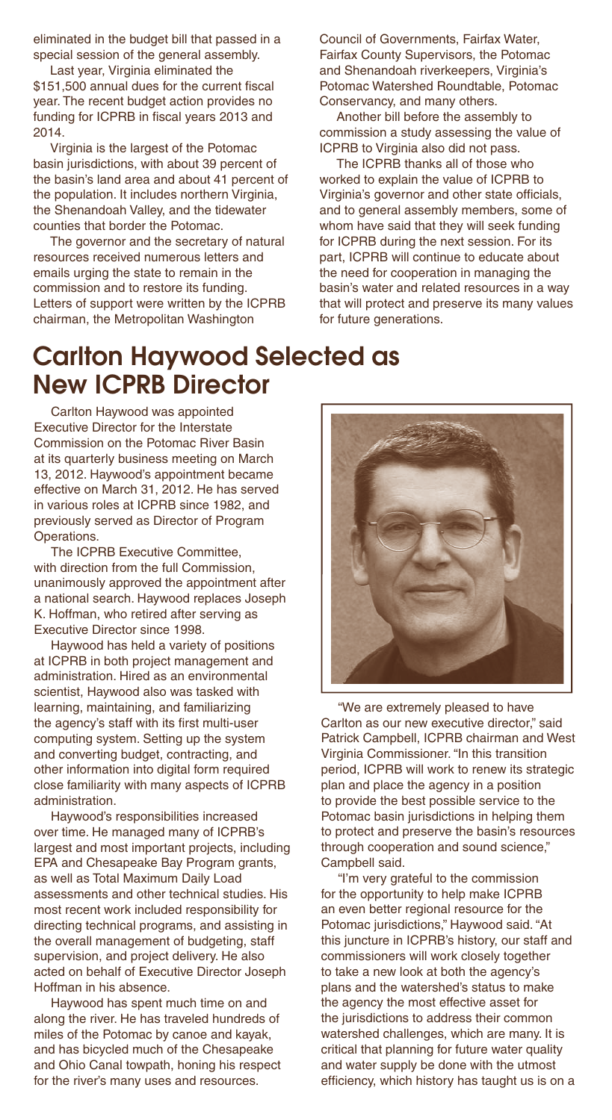eliminated in the budget bill that passed in a special session of the general assembly.

Last year, Virginia eliminated the \$151,500 annual dues for the current fiscal year. The recent budget action provides no funding for ICPRB in fiscal years 2013 and 2014.

Virginia is the largest of the Potomac basin jurisdictions, with about 39 percent of the basin's land area and about 41 percent of the population. It includes northern Virginia, the Shenandoah Valley, and the tidewater counties that border the Potomac.

The governor and the secretary of natural resources received numerous letters and emails urging the state to remain in the commission and to restore its funding. Letters of support were written by the ICPRB chairman, the Metropolitan Washington

Council of Governments, Fairfax Water, Fairfax County Supervisors, the Potomac and Shenandoah riverkeepers, Virginia's Potomac Watershed Roundtable, Potomac Conservancy, and many others.

Another bill before the assembly to commission a study assessing the value of ICPRB to Virginia also did not pass.

The ICPRB thanks all of those who worked to explain the value of ICPRB to Virginia's governor and other state officials, and to general assembly members, some of whom have said that they will seek funding for ICPRB during the next session. For its part, ICPRB will continue to educate about the need for cooperation in managing the basin's water and related resources in a way that will protect and preserve its many values for future generations.

## Carlton Haywood Selected as New ICPRB Director

Carlton Haywood was appointed Executive Director for the Interstate Commission on the Potomac River Basin at its quarterly business meeting on March 13, 2012. Haywood's appointment became effective on March 31, 2012. He has served in various roles at ICPRB since 1982, and previously served as Director of Program Operations.

The ICPRB Executive Committee, with direction from the full Commission, unanimously approved the appointment after a national search. Haywood replaces Joseph K. Hoffman, who retired after serving as Executive Director since 1998.

Haywood has held a variety of positions at ICPRB in both project management and administration. Hired as an environmental scientist, Haywood also was tasked with learning, maintaining, and familiarizing the agency's staff with its first multi-user computing system. Setting up the system and converting budget, contracting, and other information into digital form required close familiarity with many aspects of ICPRB administration.

Haywood's responsibilities increased over time. He managed many of ICPRB's largest and most important projects, including EPA and Chesapeake Bay Program grants, as well as Total Maximum Daily Load assessments and other technical studies. His most recent work included responsibility for directing technical programs, and assisting in the overall management of budgeting, staff supervision, and project delivery. He also acted on behalf of Executive Director Joseph Hoffman in his absence.

Haywood has spent much time on and along the river. He has traveled hundreds of miles of the Potomac by canoe and kayak, and has bicycled much of the Chesapeake and Ohio Canal towpath, honing his respect for the river's many uses and resources.



"We are extremely pleased to have Carlton as our new executive director," said Patrick Campbell, ICPRB chairman and West Virginia Commissioner. "In this transition period, ICPRB will work to renew its strategic plan and place the agency in a position to provide the best possible service to the Potomac basin jurisdictions in helping them to protect and preserve the basin's resources through cooperation and sound science," Campbell said.

"I'm very grateful to the commission for the opportunity to help make ICPRB an even better regional resource for the Potomac jurisdictions," Haywood said. "At this juncture in ICPRB's history, our staff and commissioners will work closely together to take a new look at both the agency's plans and the watershed's status to make the agency the most effective asset for the jurisdictions to address their common watershed challenges, which are many. It is critical that planning for future water quality and water supply be done with the utmost efficiency, which history has taught us is on a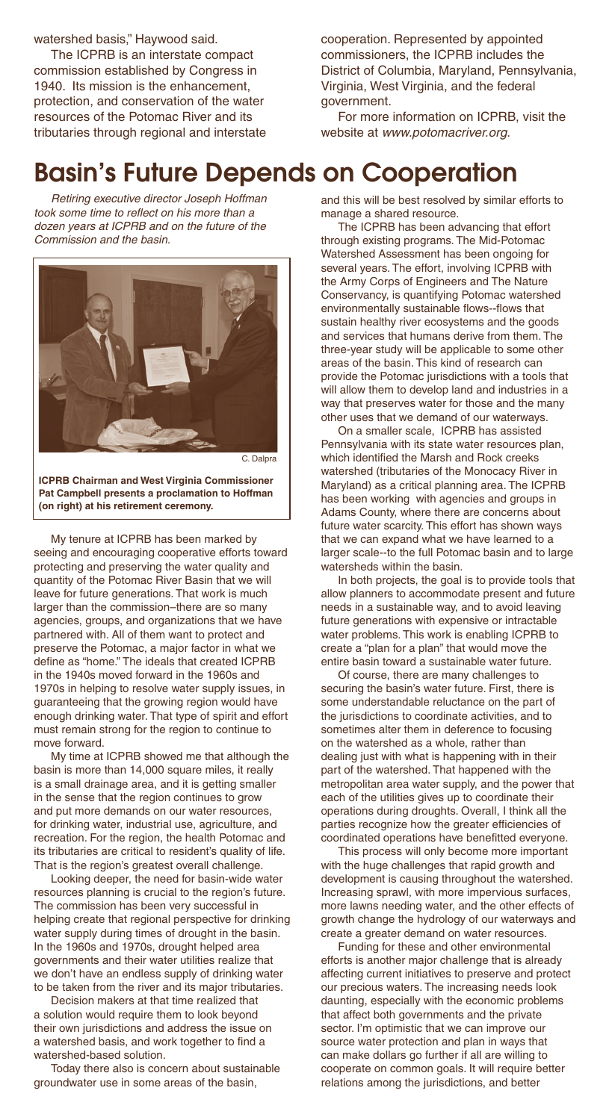watershed basis," Haywood said.

The ICPRB is an interstate compact commission established by Congress in 1940. Its mission is the enhancement, protection, and conservation of the water resources of the Potomac River and its tributaries through regional and interstate cooperation. Represented by appointed commissioners, the ICPRB includes the District of Columbia, Maryland, Pennsylvania, Virginia, West Virginia, and the federal government.

For more information on ICPRB, visit the website at www.potomacriver.org.

#### Basin's Future Depends on Cooperation

Retiring executive director Joseph Hoffman took some time to reflect on his more than a dozen years at ICPRB and on the future of the Commission and the basin.



C. Dalpra

**ICPRB Chairman and West Virginia Commissioner Pat Campbell presents a proclamation to Hoffman (on right) at his retirement ceremony.**

My tenure at ICPRB has been marked by seeing and encouraging cooperative efforts toward protecting and preserving the water quality and quantity of the Potomac River Basin that we will leave for future generations. That work is much larger than the commission–there are so many agencies, groups, and organizations that we have partnered with. All of them want to protect and preserve the Potomac, a major factor in what we define as "home." The ideals that created ICPRB in the 1940s moved forward in the 1960s and 1970s in helping to resolve water supply issues, in guaranteeing that the growing region would have enough drinking water. That type of spirit and effort must remain strong for the region to continue to move forward.

My time at ICPRB showed me that although the basin is more than 14,000 square miles, it really is a small drainage area, and it is getting smaller in the sense that the region continues to grow and put more demands on our water resources, for drinking water, industrial use, agriculture, and recreation. For the region, the health Potomac and its tributaries are critical to resident's quality of life. That is the region's greatest overall challenge.

Looking deeper, the need for basin-wide water resources planning is crucial to the region's future. The commission has been very successful in helping create that regional perspective for drinking water supply during times of drought in the basin. In the 1960s and 1970s, drought helped area governments and their water utilities realize that we don't have an endless supply of drinking water to be taken from the river and its major tributaries.

Decision makers at that time realized that a solution would require them to look beyond their own jurisdictions and address the issue on a watershed basis, and work together to find a watershed-based solution.

Today there also is concern about sustainable groundwater use in some areas of the basin,

and this will be best resolved by similar efforts to manage a shared resource.

The ICPRB has been advancing that effort through existing programs. The Mid-Potomac Watershed Assessment has been ongoing for several years. The effort, involving ICPRB with the Army Corps of Engineers and The Nature Conservancy, is quantifying Potomac watershed environmentally sustainable flows--flows that sustain healthy river ecosystems and the goods and services that humans derive from them. The three-year study will be applicable to some other areas of the basin. This kind of research can provide the Potomac jurisdictions with a tools that will allow them to develop land and industries in a way that preserves water for those and the many other uses that we demand of our waterways.

On a smaller scale, ICPRB has assisted Pennsylvania with its state water resources plan, which identified the Marsh and Rock creeks watershed (tributaries of the Monocacy River in Maryland) as a critical planning area. The ICPRB has been working with agencies and groups in Adams County, where there are concerns about future water scarcity. This effort has shown ways that we can expand what we have learned to a larger scale--to the full Potomac basin and to large watersheds within the basin.

In both projects, the goal is to provide tools that allow planners to accommodate present and future needs in a sustainable way, and to avoid leaving future generations with expensive or intractable water problems. This work is enabling ICPRB to create a "plan for a plan" that would move the entire basin toward a sustainable water future.

Of course, there are many challenges to securing the basin's water future. First, there is some understandable reluctance on the part of the jurisdictions to coordinate activities, and to sometimes alter them in deference to focusing on the watershed as a whole, rather than dealing just with what is happening with in their part of the watershed. That happened with the metropolitan area water supply, and the power that each of the utilities gives up to coordinate their operations during droughts. Overall, I think all the parties recognize how the greater efficiencies of coordinated operations have benefitted everyone.

This process will only become more important with the huge challenges that rapid growth and development is causing throughout the watershed. Increasing sprawl, with more impervious surfaces, more lawns needing water, and the other effects of growth change the hydrology of our waterways and create a greater demand on water resources.

Funding for these and other environmental efforts is another major challenge that is already affecting current initiatives to preserve and protect our precious waters. The increasing needs look daunting, especially with the economic problems that affect both governments and the private sector. I'm optimistic that we can improve our source water protection and plan in ways that can make dollars go further if all are willing to cooperate on common goals. It will require better relations among the jurisdictions, and better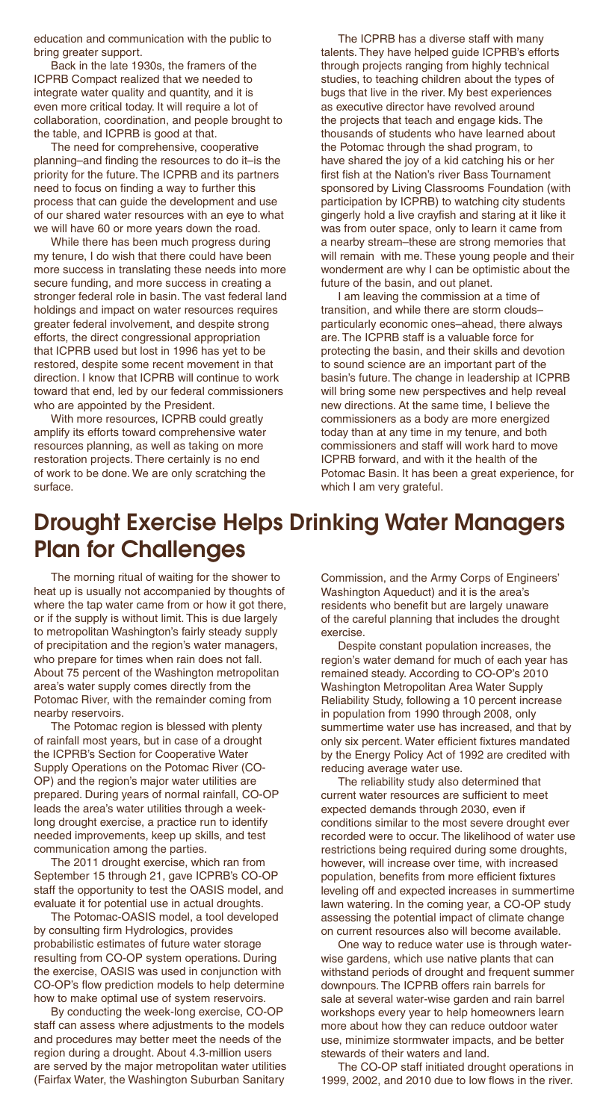education and communication with the public to bring greater support.

Back in the late 1930s, the framers of the ICPRB Compact realized that we needed to integrate water quality and quantity, and it is even more critical today. It will require a lot of collaboration, coordination, and people brought to the table, and ICPRB is good at that.

The need for comprehensive, cooperative planning–and finding the resources to do it–is the priority for the future. The ICPRB and its partners need to focus on finding a way to further this process that can guide the development and use of our shared water resources with an eye to what we will have 60 or more years down the road.

While there has been much progress during my tenure, I do wish that there could have been more success in translating these needs into more secure funding, and more success in creating a stronger federal role in basin. The vast federal land holdings and impact on water resources requires greater federal involvement, and despite strong efforts, the direct congressional appropriation that ICPRB used but lost in 1996 has yet to be restored, despite some recent movement in that direction. I know that ICPRB will continue to work toward that end, led by our federal commissioners who are appointed by the President.

With more resources, ICPRB could greatly amplify its efforts toward comprehensive water resources planning, as well as taking on more restoration projects. There certainly is no end of work to be done. We are only scratching the surface.

The ICPRB has a diverse staff with many talents. They have helped guide ICPRB's efforts through projects ranging from highly technical studies, to teaching children about the types of bugs that live in the river. My best experiences as executive director have revolved around the projects that teach and engage kids. The thousands of students who have learned about the Potomac through the shad program, to have shared the joy of a kid catching his or her first fish at the Nation's river Bass Tournament sponsored by Living Classrooms Foundation (with participation by ICPRB) to watching city students gingerly hold a live crayfish and staring at it like it was from outer space, only to learn it came from a nearby stream–these are strong memories that will remain with me. These young people and their wonderment are why I can be optimistic about the future of the basin, and out planet.

I am leaving the commission at a time of transition, and while there are storm clouds– particularly economic ones–ahead, there always are. The ICPRB staff is a valuable force for protecting the basin, and their skills and devotion to sound science are an important part of the basin's future. The change in leadership at ICPRB will bring some new perspectives and help reveal new directions. At the same time, I believe the commissioners as a body are more energized today than at any time in my tenure, and both commissioners and staff will work hard to move ICPRB forward, and with it the health of the Potomac Basin. It has been a great experience, for which I am very grateful.

#### Drought Exercise Helps Drinking Water Managers Plan for Challenges

The morning ritual of waiting for the shower to heat up is usually not accompanied by thoughts of where the tap water came from or how it got there, or if the supply is without limit. This is due largely to metropolitan Washington's fairly steady supply of precipitation and the region's water managers, who prepare for times when rain does not fall. About 75 percent of the Washington metropolitan area's water supply comes directly from the Potomac River, with the remainder coming from nearby reservoirs.

The Potomac region is blessed with plenty of rainfall most years, but in case of a drought the ICPRB's Section for Cooperative Water Supply Operations on the Potomac River (CO-OP) and the region's major water utilities are prepared. During years of normal rainfall, CO-OP leads the area's water utilities through a weeklong drought exercise, a practice run to identify needed improvements, keep up skills, and test communication among the parties.

The 2011 drought exercise, which ran from September 15 through 21, gave ICPRB's CO-OP staff the opportunity to test the OASIS model, and evaluate it for potential use in actual droughts.

The Potomac-OASIS model, a tool developed by consulting firm Hydrologics, provides probabilistic estimates of future water storage resulting from CO-OP system operations. During the exercise, OASIS was used in conjunction with CO-OP's flow prediction models to help determine how to make optimal use of system reservoirs.

By conducting the week-long exercise, CO-OP staff can assess where adjustments to the models and procedures may better meet the needs of the region during a drought. About 4.3-million users are served by the major metropolitan water utilities (Fairfax Water, the Washington Suburban Sanitary

Commission, and the Army Corps of Engineers' Washington Aqueduct) and it is the area's residents who benefit but are largely unaware of the careful planning that includes the drought exercise.

Despite constant population increases, the region's water demand for much of each year has remained steady. According to CO-OP's 2010 Washington Metropolitan Area Water Supply Reliability Study, following a 10 percent increase in population from 1990 through 2008, only summertime water use has increased, and that by only six percent. Water efficient fixtures mandated by the Energy Policy Act of 1992 are credited with reducing average water use.

The reliability study also determined that current water resources are sufficient to meet expected demands through 2030, even if conditions similar to the most severe drought ever recorded were to occur. The likelihood of water use restrictions being required during some droughts, however, will increase over time, with increased population, benefits from more efficient fixtures leveling off and expected increases in summertime lawn watering. In the coming year, a CO-OP study assessing the potential impact of climate change on current resources also will become available.

One way to reduce water use is through waterwise gardens, which use native plants that can withstand periods of drought and frequent summer downpours. The ICPRB offers rain barrels for sale at several water-wise garden and rain barrel workshops every year to help homeowners learn more about how they can reduce outdoor water use, minimize stormwater impacts, and be better stewards of their waters and land.

The CO-OP staff initiated drought operations in 1999, 2002, and 2010 due to low flows in the river.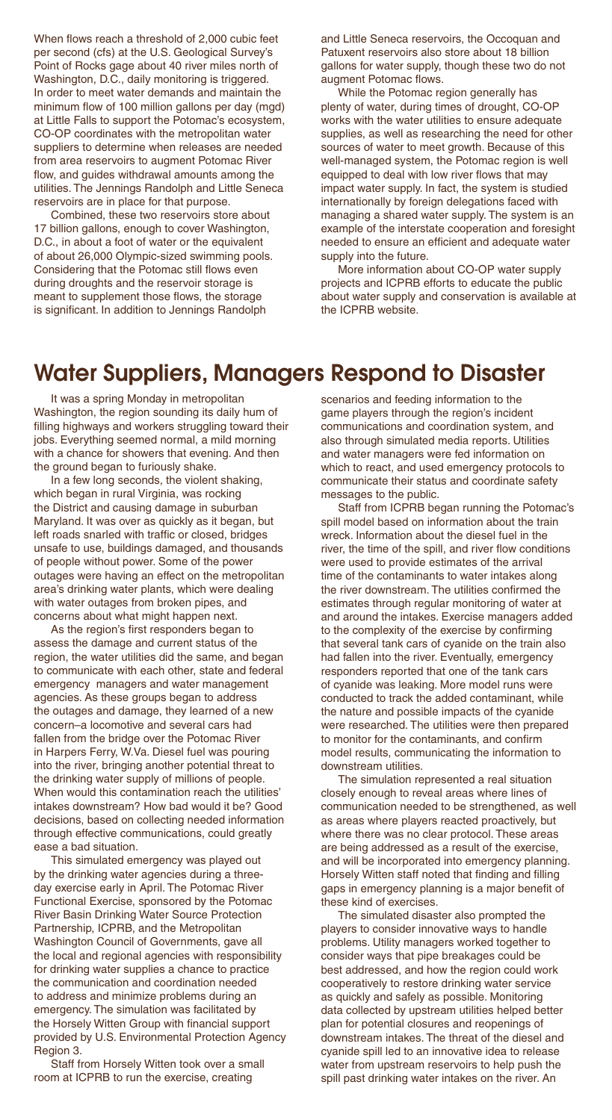When flows reach a threshold of 2,000 cubic feet per second (cfs) at the U.S. Geological Survey's Point of Rocks gage about 40 river miles north of Washington, D.C., daily monitoring is triggered. In order to meet water demands and maintain the minimum flow of 100 million gallons per day (mgd) at Little Falls to support the Potomac's ecosystem, CO-OP coordinates with the metropolitan water suppliers to determine when releases are needed from area reservoirs to augment Potomac River flow, and quides withdrawal amounts among the utilities. The Jennings Randolph and Little Seneca reservoirs are in place for that purpose.

Combined, these two reservoirs store about 17 billion gallons, enough to cover Washington, D.C., in about a foot of water or the equivalent of about 26,000 Olympic-sized swimming pools. Considering that the Potomac still flows even during droughts and the reservoir storage is meant to supplement those flows, the storage is significant. In addition to Jennings Randolph

and Little Seneca reservoirs, the Occoquan and Patuxent reservoirs also store about 18 billion gallons for water supply, though these two do not augment Potomac flows.

While the Potomac region generally has plenty of water, during times of drought, CO-OP works with the water utilities to ensure adequate supplies, as well as researching the need for other sources of water to meet growth. Because of this well-managed system, the Potomac region is well equipped to deal with low river flows that may impact water supply. In fact, the system is studied internationally by foreign delegations faced with managing a shared water supply. The system is an example of the interstate cooperation and foresight needed to ensure an efficient and adequate water supply into the future.

More information about CO-OP water supply projects and ICPRB efforts to educate the public about water supply and conservation is available at the ICPRB website.

#### Water Suppliers, Managers Respond to Disaster

It was a spring Monday in metropolitan Washington, the region sounding its daily hum of filling highways and workers struggling toward their jobs. Everything seemed normal, a mild morning with a chance for showers that evening. And then the ground began to furiously shake.

In a few long seconds, the violent shaking, which began in rural Virginia, was rocking the District and causing damage in suburban Maryland. It was over as quickly as it began, but left roads snarled with traffic or closed, bridges unsafe to use, buildings damaged, and thousands of people without power. Some of the power outages were having an effect on the metropolitan area's drinking water plants, which were dealing with water outages from broken pipes, and concerns about what might happen next.

As the region's first responders began to assess the damage and current status of the region, the water utilities did the same, and began to communicate with each other, state and federal emergency managers and water management agencies. As these groups began to address the outages and damage, they learned of a new concern–a locomotive and several cars had fallen from the bridge over the Potomac River in Harpers Ferry, W.Va. Diesel fuel was pouring into the river, bringing another potential threat to the drinking water supply of millions of people. When would this contamination reach the utilities' intakes downstream? How bad would it be? Good decisions, based on collecting needed information through effective communications, could greatly ease a bad situation.

This simulated emergency was played out by the drinking water agencies during a threeday exercise early in April. The Potomac River Functional Exercise, sponsored by the Potomac River Basin Drinking Water Source Protection Partnership, ICPRB, and the Metropolitan Washington Council of Governments, gave all the local and regional agencies with responsibility for drinking water supplies a chance to practice the communication and coordination needed to address and minimize problems during an emergency. The simulation was facilitated by the Horsely Witten Group with financial support provided by U.S. Environmental Protection Agency Region 3.

Staff from Horsely Witten took over a small room at ICPRB to run the exercise, creating

scenarios and feeding information to the game players through the region's incident communications and coordination system, and also through simulated media reports. Utilities and water managers were fed information on which to react, and used emergency protocols to communicate their status and coordinate safety messages to the public.

Staff from ICPRB began running the Potomac's spill model based on information about the train wreck. Information about the diesel fuel in the river, the time of the spill, and river flow conditions were used to provide estimates of the arrival time of the contaminants to water intakes along the river downstream. The utilities confirmed the estimates through regular monitoring of water at and around the intakes. Exercise managers added to the complexity of the exercise by confirming that several tank cars of cyanide on the train also had fallen into the river. Eventually, emergency responders reported that one of the tank cars of cyanide was leaking. More model runs were conducted to track the added contaminant, while the nature and possible impacts of the cyanide were researched. The utilities were then prepared to monitor for the contaminants, and confirm model results, communicating the information to downstream utilities.

The simulation represented a real situation closely enough to reveal areas where lines of communication needed to be strengthened, as well as areas where players reacted proactively, but where there was no clear protocol. These areas are being addressed as a result of the exercise, and will be incorporated into emergency planning. Horsely Witten staff noted that finding and filling gaps in emergency planning is a major benefit of these kind of exercises.

The simulated disaster also prompted the players to consider innovative ways to handle problems. Utility managers worked together to consider ways that pipe breakages could be best addressed, and how the region could work cooperatively to restore drinking water service as quickly and safely as possible. Monitoring data collected by upstream utilities helped better plan for potential closures and reopenings of downstream intakes. The threat of the diesel and cyanide spill led to an innovative idea to release water from upstream reservoirs to help push the spill past drinking water intakes on the river. An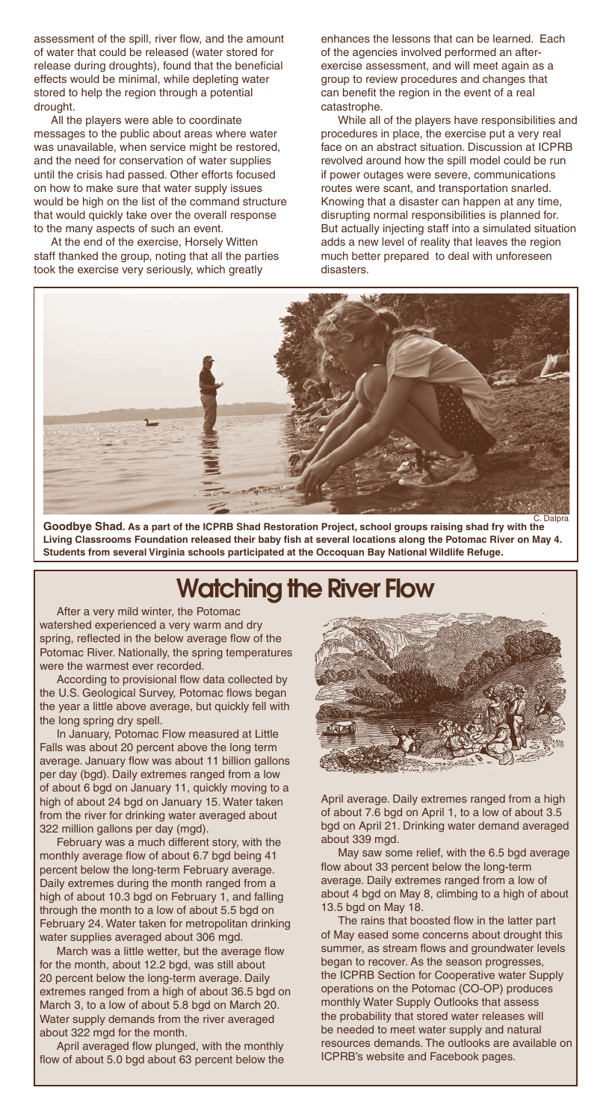assessment of the spill, river flow, and the amount of water that could be released (water stored for release during droughts), found that the beneficial effects would be minimal, while depleting water stored to help the region through a potential drought.

All the players were able to coordinate messages to the public about areas where water was unavailable, when service might be restored, and the need for conservation of water supplies until the crisis had passed. Other efforts focused on how to make sure that water supply issues would be high on the list of the command structure that would quickly take over the overall response to the many aspects of such an event.

At the end of the exercise, Horsely Witten staff thanked the group, noting that all the parties took the exercise very seriously, which greatly

enhances the lessons that can be learned. Each of the agencies involved performed an afterexercise assessment, and will meet again as a group to review procedures and changes that can benefit the region in the event of a real catastrophe.

While all of the players have responsibilities and procedures in place, the exercise put a very real face on an abstract situation. Discussion at ICPRB revolved around how the spill model could be run if power outages were severe, communications routes were scant, and transportation snarled. Knowing that a disaster can happen at any time, disrupting normal responsibilities is planned for. But actually injecting staff into a simulated situation adds a new level of reality that leaves the region much better prepared to deal with unforeseen disasters.



**Goodbye Shad. As a part of the ICPRB Shad Restoration Project, school groups raising shad fry with the**  C. Dalpra Living Classrooms Foundation released their baby fish at several locations along the Potomac River on May 4. **Students from several Virginia schools participated at the Occoquan Bay National Wildlife Refuge.**

## Watching the River Flow

After a very mild winter, the Potomac watershed experienced a very warm and dry spring, reflected in the below average flow of the Potomac River. Nationally, the spring temperatures were the warmest ever recorded.

According to provisional flow data collected by the U.S. Geological Survey, Potomac flows began the year a little above average, but quickly fell with the long spring dry spell.

In January, Potomac Flow measured at Little Falls was about 20 percent above the long term average. January flow was about 11 billion gallons per day (bgd). Daily extremes ranged from a low of about 6 bgd on January 11, quickly moving to a high of about 24 bgd on January 15. Water taken from the river for drinking water averaged about 322 million gallons per day (mgd).

February was a much different story, with the monthly average flow of about 6.7 bgd being 41 percent below the long-term February average. Daily extremes during the month ranged from a high of about 10.3 bgd on February 1, and falling through the month to a low of about 5.5 bgd on February 24. Water taken for metropolitan drinking water supplies averaged about 306 mgd.

March was a little wetter, but the average flow for the month, about 12.2 bgd, was still about 20 percent below the long-term average. Daily extremes ranged from a high of about 36.5 bgd on March 3, to a low of about 5.8 bgd on March 20. Water supply demands from the river averaged about 322 mgd for the month.

April averaged flow plunged, with the monthly flow of about 5.0 bgd about 63 percent below the



April average. Daily extremes ranged from a high of about 7.6 bgd on April 1, to a low of about 3.5 bgd on April 21. Drinking water demand averaged about 339 mgd.

May saw some relief, with the 6.5 bgd average flow about 33 percent below the long-term average. Daily extremes ranged from a low of about 4 bgd on May 8, climbing to a high of about 13.5 bgd on May 18.

The rains that boosted flow in the latter part of May eased some concerns about drought this summer, as stream flows and groundwater levels began to recover. As the season progresses, the ICPRB Section for Cooperative water Supply operations on the Potomac (CO-OP) produces monthly Water Supply Outlooks that assess the probability that stored water releases will be needed to meet water supply and natural resources demands. The outlooks are available on ICPRB's website and Facebook pages.